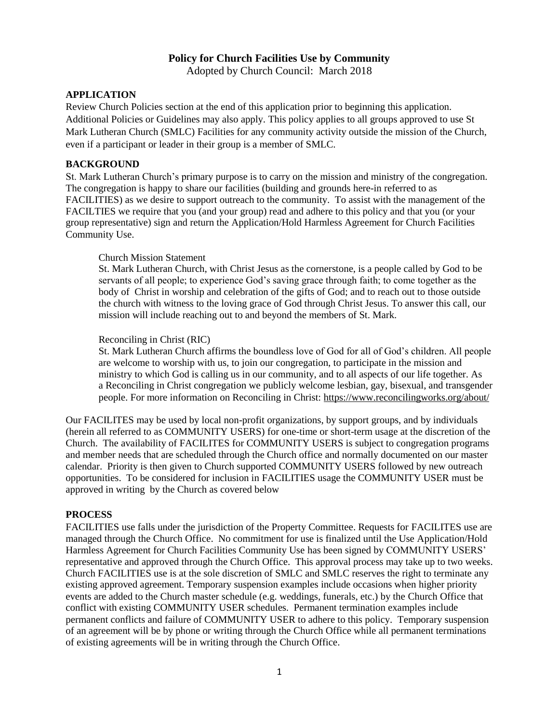# **Policy for Church Facilities Use by Community**

Adopted by Church Council: March 2018

#### **APPLICATION**

Review Church Policies section at the end of this application prior to beginning this application. Additional Policies or Guidelines may also apply. This policy applies to all groups approved to use St Mark Lutheran Church (SMLC) Facilities for any community activity outside the mission of the Church, even if a participant or leader in their group is a member of SMLC.

#### **BACKGROUND**

St. Mark Lutheran Church's primary purpose is to carry on the mission and ministry of the congregation. The congregation is happy to share our facilities (building and grounds here-in referred to as FACILITIES) as we desire to support outreach to the community. To assist with the management of the FACILTIES we require that you (and your group) read and adhere to this policy and that you (or your group representative) sign and return the Application/Hold Harmless Agreement for Church Facilities Community Use.

#### Church Mission Statement

St. Mark Lutheran Church, with Christ Jesus as the cornerstone, is a people called by God to be servants of all people; to experience God's saving grace through faith; to come together as the body of Christ in worship and celebration of the gifts of God; and to reach out to those outside the church with witness to the loving grace of God through Christ Jesus. To answer this call, our mission will include reaching out to and beyond the members of St. Mark.

#### Reconciling in Christ (RIC)

St. Mark Lutheran Church affirms the boundless love of God for all of God's children. All people are welcome to worship with us, to join our congregation, to participate in the mission and ministry to which God is calling us in our community, and to all aspects of our life together. As a Reconciling in Christ congregation we publicly welcome lesbian, gay, bisexual, and transgender people. For more information on Reconciling in Christ:<https://www.reconcilingworks.org/about/>

Our FACILITES may be used by local non-profit organizations, by support groups, and by individuals (herein all referred to as COMMUNITY USERS) for one-time or short-term usage at the discretion of the Church. The availability of FACILITES for COMMUNITY USERS is subject to congregation programs and member needs that are scheduled through the Church office and normally documented on our master calendar. Priority is then given to Church supported COMMUNITY USERS followed by new outreach opportunities. To be considered for inclusion in FACILITIES usage the COMMUNITY USER must be approved in writing by the Church as covered below

### **PROCESS**

FACILITIES use falls under the jurisdiction of the Property Committee. Requests for FACILITES use are managed through the Church Office. No commitment for use is finalized until the Use Application/Hold Harmless Agreement for Church Facilities Community Use has been signed by COMMUNITY USERS' representative and approved through the Church Office. This approval process may take up to two weeks. Church FACILITIES use is at the sole discretion of SMLC and SMLC reserves the right to terminate any existing approved agreement. Temporary suspension examples include occasions when higher priority events are added to the Church master schedule (e.g. weddings, funerals, etc.) by the Church Office that conflict with existing COMMUNITY USER schedules. Permanent termination examples include permanent conflicts and failure of COMMUNITY USER to adhere to this policy. Temporary suspension of an agreement will be by phone or writing through the Church Office while all permanent terminations of existing agreements will be in writing through the Church Office.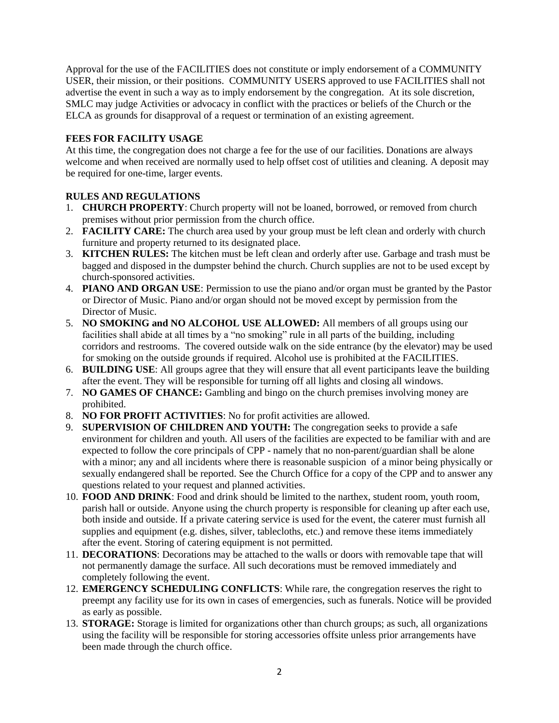Approval for the use of the FACILITIES does not constitute or imply endorsement of a COMMUNITY USER, their mission, or their positions. COMMUNITY USERS approved to use FACILITIES shall not advertise the event in such a way as to imply endorsement by the congregation. At its sole discretion, SMLC may judge Activities or advocacy in conflict with the practices or beliefs of the Church or the ELCA as grounds for disapproval of a request or termination of an existing agreement.

### **FEES FOR FACILITY USAGE**

At this time, the congregation does not charge a fee for the use of our facilities. Donations are always welcome and when received are normally used to help offset cost of utilities and cleaning. A deposit may be required for one-time, larger events.

## **RULES AND REGULATIONS**

- 1. **CHURCH PROPERTY**: Church property will not be loaned, borrowed, or removed from church premises without prior permission from the church office.
- 2. **FACILITY CARE:** The church area used by your group must be left clean and orderly with church furniture and property returned to its designated place.
- 3. **KITCHEN RULES:** The kitchen must be left clean and orderly after use. Garbage and trash must be bagged and disposed in the dumpster behind the church. Church supplies are not to be used except by church-sponsored activities.
- 4. **PIANO AND ORGAN USE**: Permission to use the piano and/or organ must be granted by the Pastor or Director of Music. Piano and/or organ should not be moved except by permission from the Director of Music.
- 5. **NO SMOKING and NO ALCOHOL USE ALLOWED:** All members of all groups using our facilities shall abide at all times by a "no smoking" rule in all parts of the building, including corridors and restrooms. The covered outside walk on the side entrance (by the elevator) may be used for smoking on the outside grounds if required. Alcohol use is prohibited at the FACILITIES.
- 6. **BUILDING USE**: All groups agree that they will ensure that all event participants leave the building after the event. They will be responsible for turning off all lights and closing all windows.
- 7. **NO GAMES OF CHANCE:** Gambling and bingo on the church premises involving money are prohibited.
- 8. **NO FOR PROFIT ACTIVITIES**: No for profit activities are allowed.
- 9. **SUPERVISION OF CHILDREN AND YOUTH:** The congregation seeks to provide a safe environment for children and youth. All users of the facilities are expected to be familiar with and are expected to follow the core principals of CPP - namely that no non-parent/guardian shall be alone with a minor; any and all incidents where there is reasonable suspicion of a minor being physically or sexually endangered shall be reported. See the Church Office for a copy of the CPP and to answer any questions related to your request and planned activities.
- 10. **FOOD AND DRINK**: Food and drink should be limited to the narthex, student room, youth room, parish hall or outside. Anyone using the church property is responsible for cleaning up after each use, both inside and outside. If a private catering service is used for the event, the caterer must furnish all supplies and equipment (e.g. dishes, silver, tablecloths, etc.) and remove these items immediately after the event. Storing of catering equipment is not permitted.
- 11. **DECORATIONS**: Decorations may be attached to the walls or doors with removable tape that will not permanently damage the surface. All such decorations must be removed immediately and completely following the event.
- 12. **EMERGENCY SCHEDULING CONFLICTS**: While rare, the congregation reserves the right to preempt any facility use for its own in cases of emergencies, such as funerals. Notice will be provided as early as possible.
- 13. **STORAGE:** Storage is limited for organizations other than church groups; as such, all organizations using the facility will be responsible for storing accessories offsite unless prior arrangements have been made through the church office.